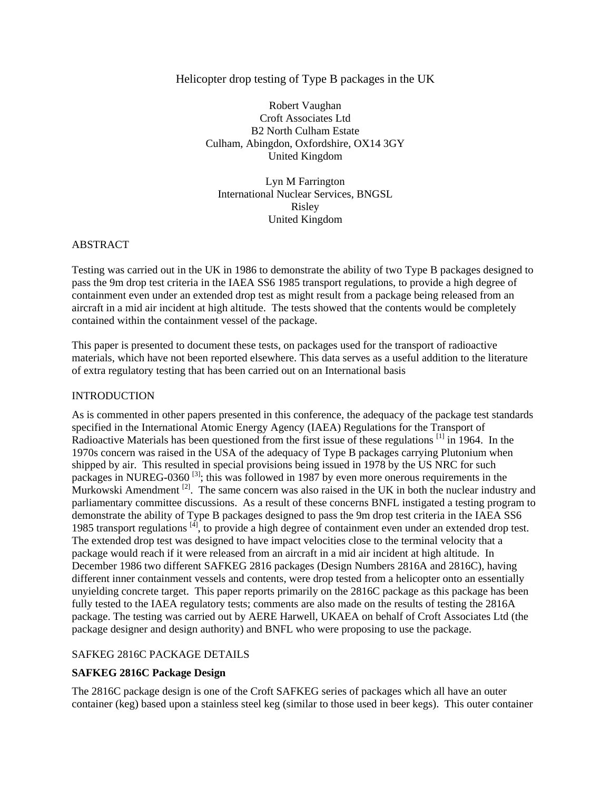# Helicopter drop testing of Type B packages in the UK

Robert Vaughan Croft Associates Ltd B2 North Culham Estate Culham, Abingdon, Oxfordshire, OX14 3GY United Kingdom

Lyn M Farrington International Nuclear Services, BNGSL Risley United Kingdom

## ABSTRACT

Testing was carried out in the UK in 1986 to demonstrate the ability of two Type B packages designed to pass the 9m drop test criteria in the IAEA SS6 1985 transport regulations, to provide a high degree of containment even under an extended drop test as might result from a package being released from an aircraft in a mid air incident at high altitude. The tests showed that the contents would be completely contained within the containment vessel of the package.

This paper is presented to document these tests, on packages used for the transport of radioactive materials, which have not been reported elsewhere. This data serves as a useful addition to the literature of extra regulatory testing that has been carried out on an International basis

## **INTRODUCTION**

As is commented in other papers presented in this conference, the adequacy of the package test standards specified in the International Atomic Energy Agency (IAEA) Regulations for the Transport of Radioactive Materials has been questioned from the first issue of these regulations <sup>[1]</sup> in 1964. In the 1970s concern was raised in the USA of the adequacy of Type B packages carrying Plutonium when shipped by air. This resulted in special provisions being issued in 1978 by the US NRC for such packages in NUREG-0360<sup>[3]</sup>; this was followed in 1987 by even more onerous requirements in the Murkowski Amendment<sup>[2]</sup>. The same concern was also raised in the UK in both the nuclear industry and parliamentary committee discussions. As a result of these concerns BNFL instigated a testing program to demonstrate the ability of Type B packages designed to pass the 9m drop test criteria in the IAEA SS6 1985 transport regulations <sup>[4]</sup>, to provide a high degree of containment even under an extended drop test. The extended drop test was designed to have impact velocities close to the terminal velocity that a package would reach if it were released from an aircraft in a mid air incident at high altitude. In December 1986 two different SAFKEG 2816 packages (Design Numbers 2816A and 2816C), having different inner containment vessels and contents, were drop tested from a helicopter onto an essentially unyielding concrete target. This paper reports primarily on the 2816C package as this package has been fully tested to the IAEA regulatory tests; comments are also made on the results of testing the 2816A package. The testing was carried out by AERE Harwell, UKAEA on behalf of Croft Associates Ltd (the package designer and design authority) and BNFL who were proposing to use the package.

## SAFKEG 2816C PACKAGE DETAILS

## **SAFKEG 2816C Package Design**

The 2816C package design is one of the Croft SAFKEG series of packages which all have an outer container (keg) based upon a stainless steel keg (similar to those used in beer kegs). This outer container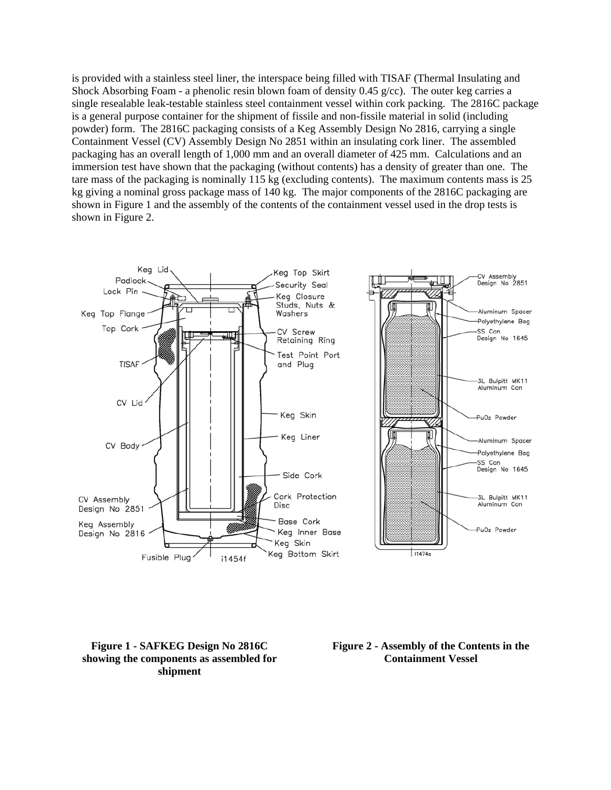is provided with a stainless steel liner, the interspace being filled with TISAF (Thermal Insulating and Shock Absorbing Foam - a phenolic resin blown foam of density 0.45 g/cc). The outer keg carries a single resealable leak-testable stainless steel containment vessel within cork packing. The 2816C package is a general purpose container for the shipment of fissile and non-fissile material in solid (including powder) form. The 2816C packaging consists of a Keg Assembly Design No 2816, carrying a single Containment Vessel (CV) Assembly Design No 2851 within an insulating cork liner. The assembled packaging has an overall length of 1,000 mm and an overall diameter of 425 mm. Calculations and an immersion test have shown that the packaging (without contents) has a density of greater than one. The tare mass of the packaging is nominally 115 kg (excluding contents). The maximum contents mass is 25 kg giving a nominal gross package mass of 140 kg. The major components of the 2816C packaging are shown in Figure 1 and the assembly of the contents of the containment vessel used in the drop tests is shown in Figure 2.



**Figure 1 - SAFKEG Design No 2816C showing the components as assembled for shipment** 

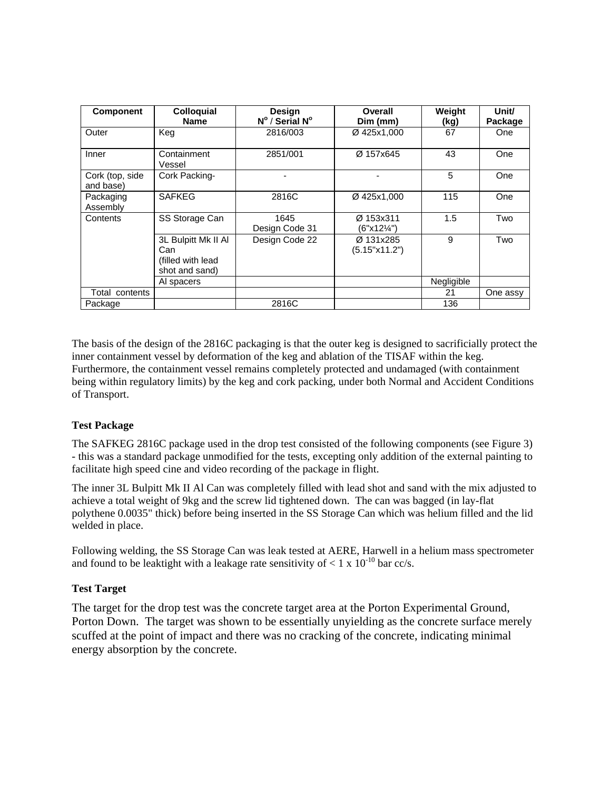| <b>Component</b>             | <b>Colloquial</b><br><b>Name</b>                                   | Design<br>N° / Serial N° | Overall<br>Dim (mm)        | Weight<br>(kg) | Unit/<br>Package |
|------------------------------|--------------------------------------------------------------------|--------------------------|----------------------------|----------------|------------------|
| Outer                        | Keg                                                                | 2816/003                 | Ø 425x1,000                | 67             | One              |
| Inner                        | Containment<br>Vessel                                              | 2851/001                 | Ø 157x645                  | 43             | One              |
| Cork (top, side<br>and base) | Cork Packing-                                                      |                          |                            | 5              | One              |
| Packaging<br>Assembly        | <b>SAFKEG</b>                                                      | 2816C                    | Ø 425x1.000                | 115            | One              |
| Contents                     | SS Storage Can                                                     | 1645<br>Design Code 31   | Ø 153x311<br>(6"x12¼")     | 1.5            | Two              |
|                              | 3L Bulpitt Mk II AI<br>Can<br>(filled with lead)<br>shot and sand) | Design Code 22           | Ø 131x285<br>(5.15"x11.2") | 9              | Two              |
|                              | Al spacers                                                         |                          |                            | Negligible     |                  |
| Total contents               |                                                                    |                          |                            | 21             | One assy         |
| Package                      |                                                                    | 2816C                    |                            | 136            |                  |

The basis of the design of the 2816C packaging is that the outer keg is designed to sacrificially protect the inner containment vessel by deformation of the keg and ablation of the TISAF within the keg. Furthermore, the containment vessel remains completely protected and undamaged (with containment being within regulatory limits) by the keg and cork packing, under both Normal and Accident Conditions of Transport.

# **Test Package**

The SAFKEG 2816C package used in the drop test consisted of the following components (see Figure 3) - this was a standard package unmodified for the tests, excepting only addition of the external painting to facilitate high speed cine and video recording of the package in flight.

The inner 3L Bulpitt Mk II Al Can was completely filled with lead shot and sand with the mix adjusted to achieve a total weight of 9kg and the screw lid tightened down. The can was bagged (in lay-flat polythene 0.0035" thick) before being inserted in the SS Storage Can which was helium filled and the lid welded in place.

Following welding, the SS Storage Can was leak tested at AERE, Harwell in a helium mass spectrometer and found to be leaktight with a leakage rate sensitivity of  $< 1 \times 10^{-10}$  bar cc/s.

## **Test Target**

The target for the drop test was the concrete target area at the Porton Experimental Ground, Porton Down. The target was shown to be essentially unyielding as the concrete surface merely scuffed at the point of impact and there was no cracking of the concrete, indicating minimal energy absorption by the concrete.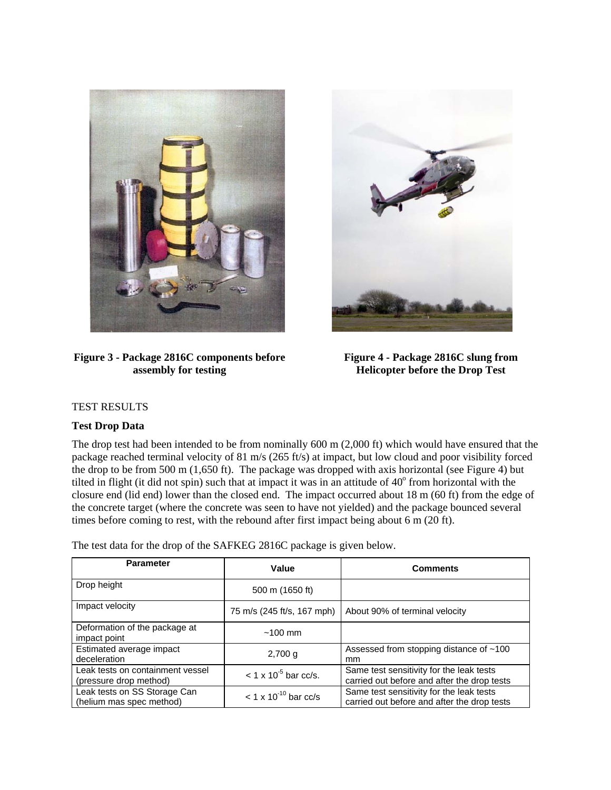

## **Figure 3 - Package 2816C components before assembly for testing**



**Figure 4 - Package 2816C slung from Helicopter before the Drop Test**

# TEST RESULTS

## **Test Drop Data**

The drop test had been intended to be from nominally 600 m (2,000 ft) which would have ensured that the package reached terminal velocity of 81 m/s (265 ft/s) at impact, but low cloud and poor visibility forced the drop to be from 500 m (1,650 ft). The package was dropped with axis horizontal (see Figure 4) but tilted in flight (it did not spin) such that at impact it was in an attitude of  $40^{\circ}$  from horizontal with the closure end (lid end) lower than the closed end. The impact occurred about 18 m (60 ft) from the edge of the concrete target (where the concrete was seen to have not yielded) and the package bounced several times before coming to rest, with the rebound after first impact being about 6 m (20 ft).

The test data for the drop of the SAFKEG 2816C package is given below.

| <b>Parameter</b>                                           | Value                              | <b>Comments</b>                                                                         |
|------------------------------------------------------------|------------------------------------|-----------------------------------------------------------------------------------------|
| Drop height                                                | 500 m (1650 ft)                    |                                                                                         |
| Impact velocity                                            | 75 m/s (245 ft/s, 167 mph)         | About 90% of terminal velocity                                                          |
| Deformation of the package at<br>impact point              | $~100 \text{ mm}$                  |                                                                                         |
| Estimated average impact<br>deceleration                   | $2,700$ g                          | Assessed from stopping distance of ~100<br>mm                                           |
| Leak tests on containment vessel<br>(pressure drop method) | $< 1 \times 10^{-5}$ bar cc/s.     | Same test sensitivity for the leak tests<br>carried out before and after the drop tests |
| Leak tests on SS Storage Can<br>(helium mas spec method)   | $<$ 1 x 10 <sup>-10</sup> bar cc/s | Same test sensitivity for the leak tests<br>carried out before and after the drop tests |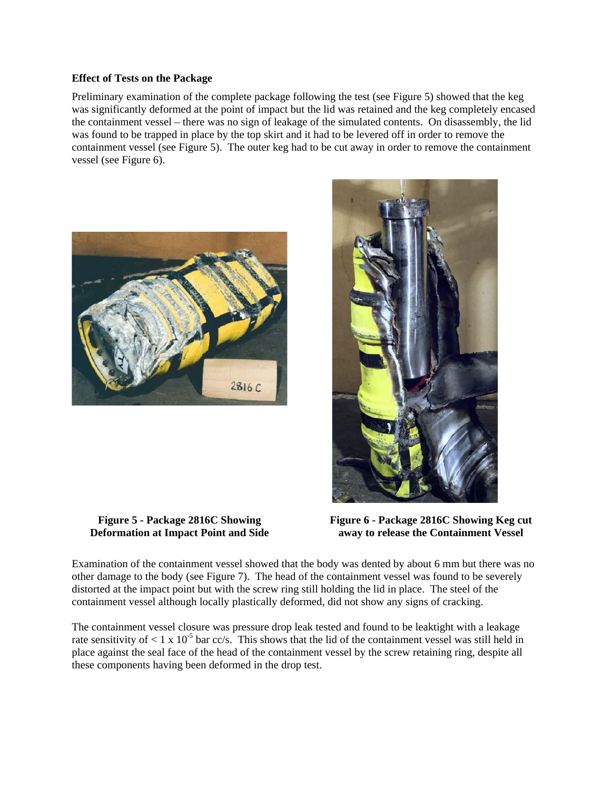#### **Effect of Tests on the Package**

Preliminary examination of the complete package following the test (see Figure 5) showed that the keg was significantly deformed at the point of impact but the lid was retained and the keg completely encased the containment vessel – there was no sign of leakage of the simulated contents. On disassembly, the lid was found to be trapped in place by the top skirt and it had to be levered off in order to remove the containment vessel (see Figure 5). The outer keg had to be cut away in order to remove the containment vessel (see Figure 6).



**Figure 5 - Package 2816C Showing Deformation at Impact Point and Side** 



**Figure 6 - Package 2816C Showing Keg cut away to release the Containment Vessel**

Examination of the containment vessel showed that the body was dented by about 6 mm but there was no other damage to the body (see Figure 7). The head of the containment vessel was found to be severely distorted at the impact point but with the screw ring still holding the lid in place. The steel of the containment vessel although locally plastically deformed, did not show any signs of cracking.

The containment vessel closure was pressure drop leak tested and found to be leaktight with a leakage rate sensitivity of  $\lt 1 \times 10^{-5}$  bar cc/s. This shows that the lid of the containment vessel was still held in place against the seal face of the head of the containment vessel by the screw retaining ring, despite all these components having been deformed in the drop test.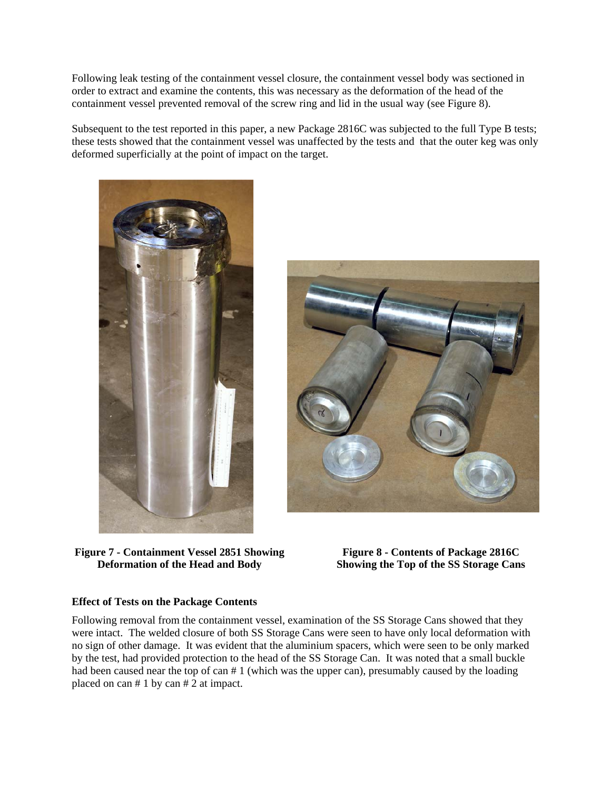Following leak testing of the containment vessel closure, the containment vessel body was sectioned in order to extract and examine the contents, this was necessary as the deformation of the head of the containment vessel prevented removal of the screw ring and lid in the usual way (see Figure 8).

Subsequent to the test reported in this paper, a new Package 2816C was subjected to the full Type B tests; these tests showed that the containment vessel was unaffected by the tests and that the outer keg was only deformed superficially at the point of impact on the target.



**Figure 7 - Containment Vessel 2851 Showing Deformation of the Head and Body** 



**Figure 8 - Contents of Package 2816C Showing the Top of the SS Storage Cans**

## **Effect of Tests on the Package Contents**

Following removal from the containment vessel, examination of the SS Storage Cans showed that they were intact. The welded closure of both SS Storage Cans were seen to have only local deformation with no sign of other damage. It was evident that the aluminium spacers, which were seen to be only marked by the test, had provided protection to the head of the SS Storage Can. It was noted that a small buckle had been caused near the top of can # 1 (which was the upper can), presumably caused by the loading placed on can # 1 by can # 2 at impact.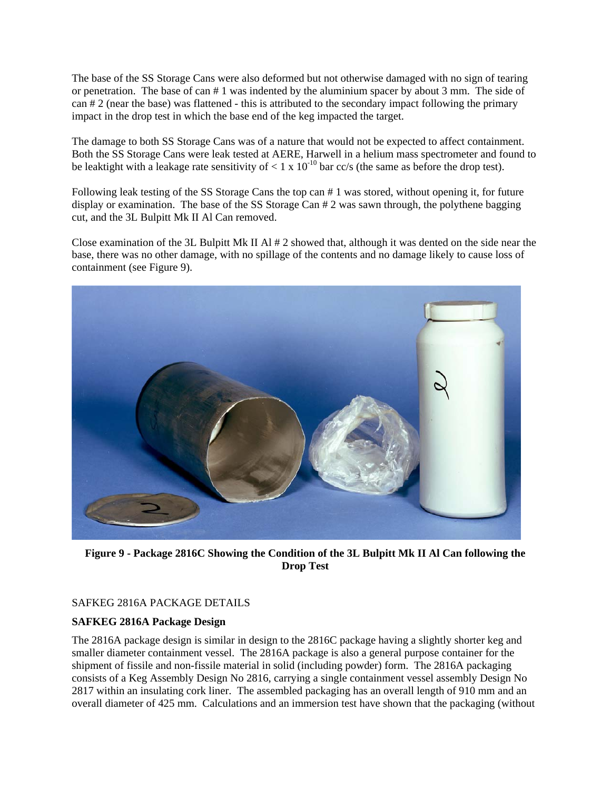The base of the SS Storage Cans were also deformed but not otherwise damaged with no sign of tearing or penetration. The base of can # 1 was indented by the aluminium spacer by about 3 mm. The side of can # 2 (near the base) was flattened - this is attributed to the secondary impact following the primary impact in the drop test in which the base end of the keg impacted the target.

The damage to both SS Storage Cans was of a nature that would not be expected to affect containment. Both the SS Storage Cans were leak tested at AERE, Harwell in a helium mass spectrometer and found to be leaktight with a leakage rate sensitivity of  $\lt 1 \times 10^{-10}$  bar cc/s (the same as before the drop test).

Following leak testing of the SS Storage Cans the top can # 1 was stored, without opening it, for future display or examination. The base of the SS Storage Can # 2 was sawn through, the polythene bagging cut, and the 3L Bulpitt Mk II Al Can removed.

Close examination of the 3L Bulpitt Mk II Al  $# 2$  showed that, although it was dented on the side near the base, there was no other damage, with no spillage of the contents and no damage likely to cause loss of containment (see Figure 9).



**Figure 9 - Package 2816C Showing the Condition of the 3L Bulpitt Mk II Al Can following the Drop Test** 

## SAFKEG 2816A PACKAGE DETAILS

## **SAFKEG 2816A Package Design**

The 2816A package design is similar in design to the 2816C package having a slightly shorter keg and smaller diameter containment vessel. The 2816A package is also a general purpose container for the shipment of fissile and non-fissile material in solid (including powder) form. The 2816A packaging consists of a Keg Assembly Design No 2816, carrying a single containment vessel assembly Design No 2817 within an insulating cork liner. The assembled packaging has an overall length of 910 mm and an overall diameter of 425 mm. Calculations and an immersion test have shown that the packaging (without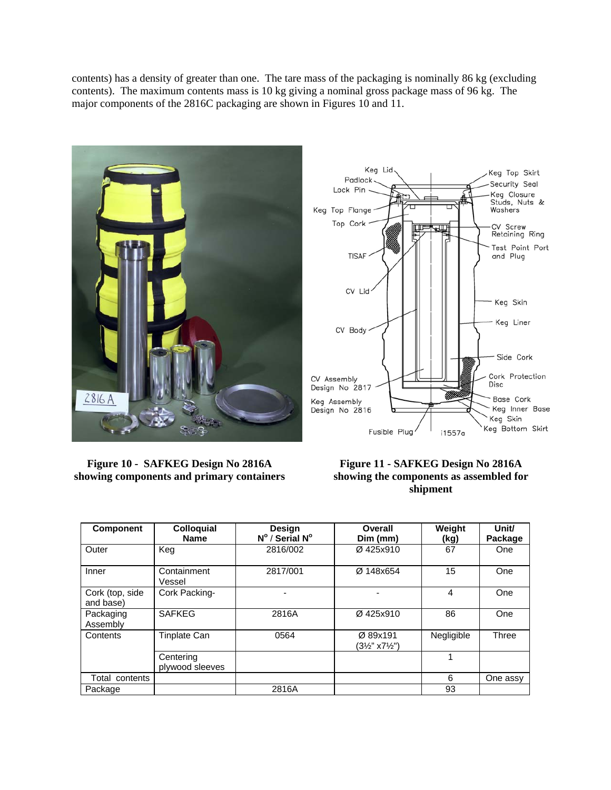contents) has a density of greater than one. The tare mass of the packaging is nominally 86 kg (excluding contents). The maximum contents mass is 10 kg giving a nominal gross package mass of 96 kg. The major components of the 2816C packaging are shown in Figures 10 and 11.





**Figure 10 - SAFKEG Design No 2816A showing components and primary containers**

**Figure 11 - SAFKEG Design No 2816A showing the components as assembled for shipment**

| <b>Component</b>             | <b>Colloquial</b><br><b>Name</b> | Design<br>$N^{\circ}$ / Serial $N^{\circ}$ | Overall<br>Dim (mm)                               | Weight<br>(kg) | Unit/<br>Package |
|------------------------------|----------------------------------|--------------------------------------------|---------------------------------------------------|----------------|------------------|
| Outer                        | Keg                              | 2816/002                                   | Ø425x910                                          | 67             | One              |
| Inner                        | Containment<br>Vessel            | 2817/001                                   | Ø 148x654                                         | 15             | One              |
| Cork (top, side<br>and base) | Cork Packing-                    |                                            | $\blacksquare$                                    | 4              | One              |
| Packaging<br>Assembly        | <b>SAFKEG</b>                    | 2816A                                      | Ø425x910                                          | 86             | One              |
| Contents                     | <b>Tinplate Can</b>              | 0564                                       | Ø 89x191<br>$(3\frac{1}{2}$ " x7 $\frac{1}{2}$ ") | Negligible     | Three            |
|                              | Centering<br>plywood sleeves     |                                            |                                                   |                |                  |
| Total contents               |                                  |                                            |                                                   | 6              | One assy         |
| Package                      |                                  | 2816A                                      |                                                   | 93             |                  |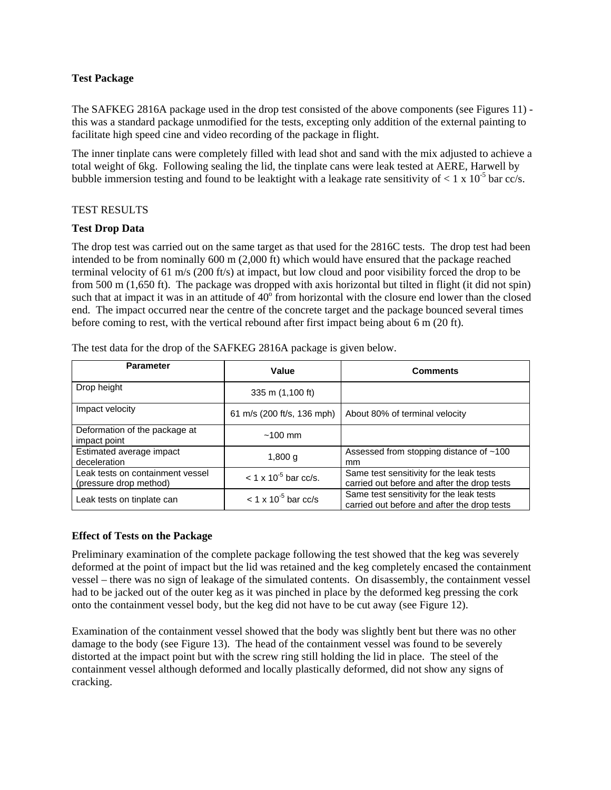#### **Test Package**

The SAFKEG 2816A package used in the drop test consisted of the above components (see Figures 11) this was a standard package unmodified for the tests, excepting only addition of the external painting to facilitate high speed cine and video recording of the package in flight.

The inner tinplate cans were completely filled with lead shot and sand with the mix adjusted to achieve a total weight of 6kg. Following sealing the lid, the tinplate cans were leak tested at AERE, Harwell by bubble immersion testing and found to be leaktight with a leakage rate sensitivity of  $< 1 \times 10^{-5}$  bar cc/s.

#### TEST RESULTS

## **Test Drop Data**

The drop test was carried out on the same target as that used for the 2816C tests. The drop test had been intended to be from nominally 600 m (2,000 ft) which would have ensured that the package reached terminal velocity of 61 m/s (200 ft/s) at impact, but low cloud and poor visibility forced the drop to be from 500 m (1,650 ft). The package was dropped with axis horizontal but tilted in flight (it did not spin) such that at impact it was in an attitude of  $40^{\circ}$  from horizontal with the closure end lower than the closed end. The impact occurred near the centre of the concrete target and the package bounced several times before coming to rest, with the vertical rebound after first impact being about 6 m (20 ft).

| <b>Parameter</b>                                           | Value                             | <b>Comments</b>                                                                         |
|------------------------------------------------------------|-----------------------------------|-----------------------------------------------------------------------------------------|
| Drop height                                                | 335 m (1,100 ft)                  |                                                                                         |
| Impact velocity                                            | 61 m/s (200 ft/s, 136 mph)        | About 80% of terminal velocity                                                          |
| Deformation of the package at<br>impact point              | $~100 \text{ mm}$                 |                                                                                         |
| Estimated average impact<br>deceleration                   | 1,800 g                           | Assessed from stopping distance of ~100<br>mm                                           |
| Leak tests on containment vessel<br>(pressure drop method) | $< 1 \times 10^{-5}$ bar cc/s.    | Same test sensitivity for the leak tests<br>carried out before and after the drop tests |
| Leak tests on tinplate can                                 | $<$ 1 x 10 <sup>-5</sup> bar cc/s | Same test sensitivity for the leak tests<br>carried out before and after the drop tests |

The test data for the drop of the SAFKEG 2816A package is given below.

## **Effect of Tests on the Package**

Preliminary examination of the complete package following the test showed that the keg was severely deformed at the point of impact but the lid was retained and the keg completely encased the containment vessel – there was no sign of leakage of the simulated contents. On disassembly, the containment vessel had to be jacked out of the outer keg as it was pinched in place by the deformed keg pressing the cork onto the containment vessel body, but the keg did not have to be cut away (see Figure 12).

Examination of the containment vessel showed that the body was slightly bent but there was no other damage to the body (see Figure 13). The head of the containment vessel was found to be severely distorted at the impact point but with the screw ring still holding the lid in place. The steel of the containment vessel although deformed and locally plastically deformed, did not show any signs of cracking.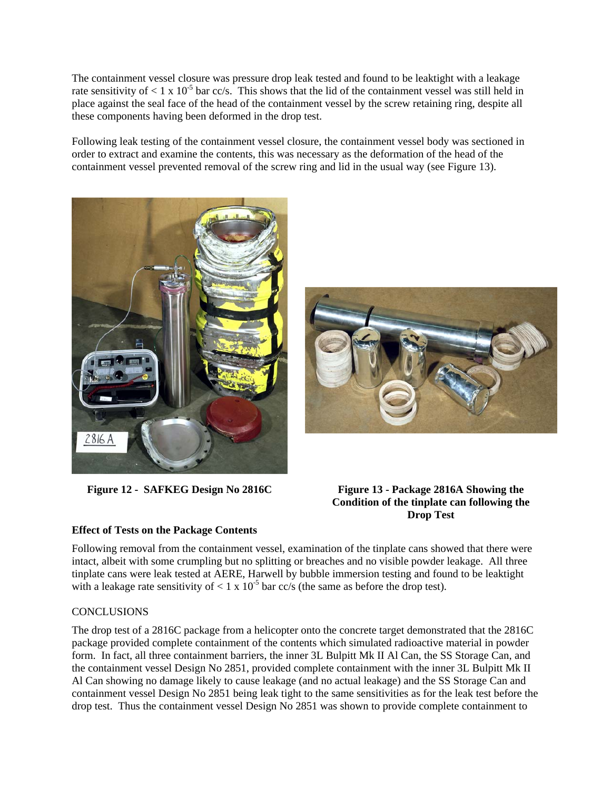The containment vessel closure was pressure drop leak tested and found to be leaktight with a leakage rate sensitivity of  $\lt 1 \times 10^{-5}$  bar cc/s. This shows that the lid of the containment vessel was still held in place against the seal face of the head of the containment vessel by the screw retaining ring, despite all these components having been deformed in the drop test.

Following leak testing of the containment vessel closure, the containment vessel body was sectioned in order to extract and examine the contents, this was necessary as the deformation of the head of the containment vessel prevented removal of the screw ring and lid in the usual way (see Figure 13).





## **Figure 12 - SAFKEG Design No 2816C Figure 13 - Package 2816A Showing the Condition of the tinplate can following the Drop Test**

# **Effect of Tests on the Package Contents**

Following removal from the containment vessel, examination of the tinplate cans showed that there were intact, albeit with some crumpling but no splitting or breaches and no visible powder leakage. All three tinplate cans were leak tested at AERE, Harwell by bubble immersion testing and found to be leaktight with a leakage rate sensitivity of  $< 1 \times 10^{-5}$  bar cc/s (the same as before the drop test).

# **CONCLUSIONS**

The drop test of a 2816C package from a helicopter onto the concrete target demonstrated that the 2816C package provided complete containment of the contents which simulated radioactive material in powder form. In fact, all three containment barriers, the inner 3L Bulpitt Mk II Al Can, the SS Storage Can, and the containment vessel Design No 2851, provided complete containment with the inner 3L Bulpitt Mk II Al Can showing no damage likely to cause leakage (and no actual leakage) and the SS Storage Can and containment vessel Design No 2851 being leak tight to the same sensitivities as for the leak test before the drop test. Thus the containment vessel Design No 2851 was shown to provide complete containment to